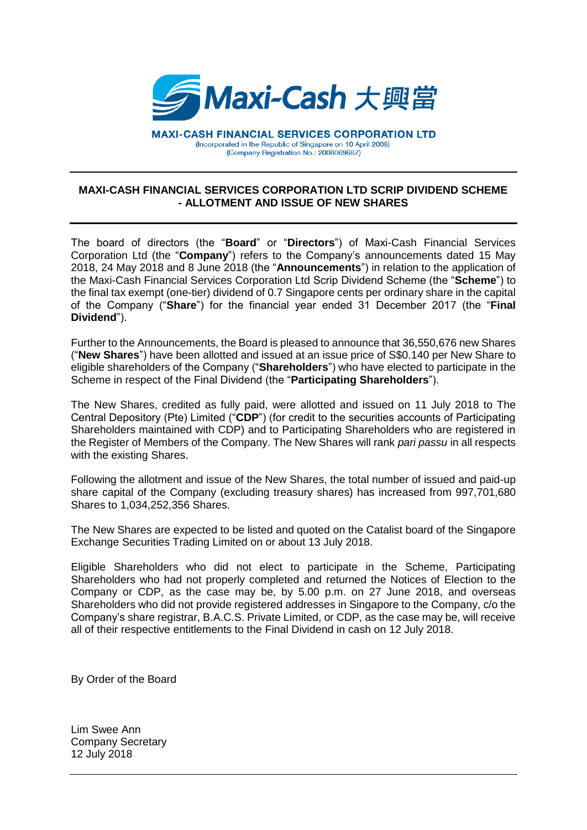

**MAXI-CASH FINANCIAL SERVICES CORPORATION LTD** (Incorporated in the Republic of Singapore on 10 April 2008) (Company Registration No.: 200806968Z)

## **MAXI-CASH FINANCIAL SERVICES CORPORATION LTD SCRIP DIVIDEND SCHEME - ALLOTMENT AND ISSUE OF NEW SHARES**

The board of directors (the "**Board**" or "**Directors**") of Maxi-Cash Financial Services Corporation Ltd (the "**Company**") refers to the Company's announcements dated 15 May 2018, 24 May 2018 and 8 June 2018 (the "**Announcements**") in relation to the application of the Maxi-Cash Financial Services Corporation Ltd Scrip Dividend Scheme (the "**Scheme**") to the final tax exempt (one-tier) dividend of 0.7 Singapore cents per ordinary share in the capital of the Company ("**Share**") for the financial year ended 31 December 2017 (the "**Final Dividend**").

Further to the Announcements, the Board is pleased to announce that 36,550,676 new Shares ("**New Shares**") have been allotted and issued at an issue price of S\$0.140 per New Share to eligible shareholders of the Company ("**Shareholders**") who have elected to participate in the Scheme in respect of the Final Dividend (the "**Participating Shareholders**").

The New Shares, credited as fully paid, were allotted and issued on 11 July 2018 to The Central Depository (Pte) Limited ("**CDP**") (for credit to the securities accounts of Participating Shareholders maintained with CDP) and to Participating Shareholders who are registered in the Register of Members of the Company. The New Shares will rank *pari passu* in all respects with the existing Shares.

Following the allotment and issue of the New Shares, the total number of issued and paid-up share capital of the Company (excluding treasury shares) has increased from 997,701,680 Shares to 1,034,252,356 Shares.

The New Shares are expected to be listed and quoted on the Catalist board of the Singapore Exchange Securities Trading Limited on or about 13 July 2018.

Eligible Shareholders who did not elect to participate in the Scheme, Participating Shareholders who had not properly completed and returned the Notices of Election to the Company or CDP, as the case may be, by 5.00 p.m. on 27 June 2018, and overseas Shareholders who did not provide registered addresses in Singapore to the Company, c/o the Company's share registrar, B.A.C.S. Private Limited, or CDP, as the case may be, will receive all of their respective entitlements to the Final Dividend in cash on 12 July 2018.

By Order of the Board

Lim Swee Ann Company Secretary 12 July 2018